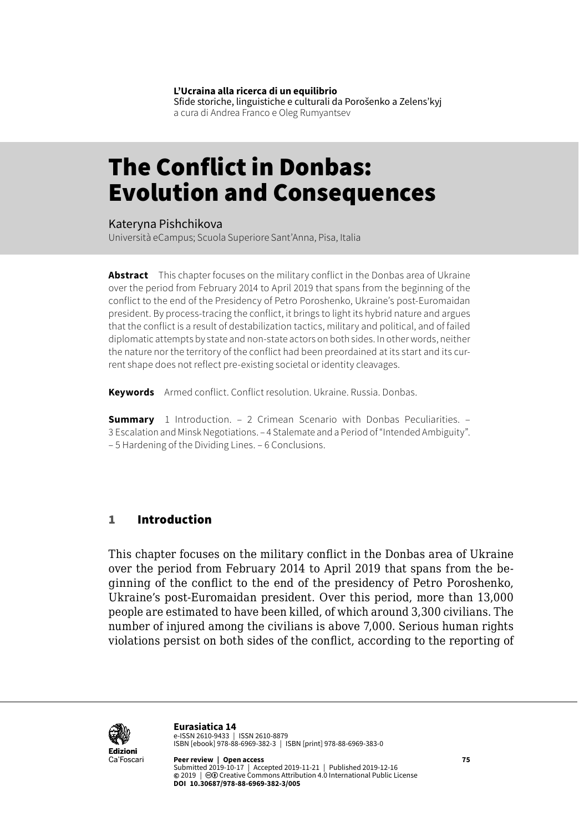**L'Ucraina alla ricerca di un equilibrio**

Sfide storiche, linguistiche e culturali da Porošenko a Zelens'kyj a cura di Andrea Franco e Oleg Rumyantsev

# The Conflict in Donbas: Evolution and Consequences

#### Kateryna Pishchikova

Università eCampus; Scuola Superiore Sant'Anna, Pisa, Italia

**Abstract** This chapter focuses on the military conflict in the Donbas area of Ukraine over the period from February 2014 to April 2019 that spans from the beginning of the conflict to the end of the Presidency of Petro Poroshenko, Ukraine's post-Euromaidan president. By process-tracing the conflict, it brings to light its hybrid nature and argues that the conflict is a result of destabilization tactics, military and political, and of failed diplomatic attempts by state and non-state actors on both sides. In other words, neither the nature nor the territory of the conflict had been preordained at its start and its current shape does not reflect pre-existing societal or identity cleavages.

**Keywords** Armed conflict. Conflict resolution. Ukraine. Russia. Donbas.

**Summary** [1 Introduction.](#page-1-0) – [2 Crimean Scenario with Donbas Peculiarities.](#page-2-0) – 3 [Escalation and Minsk Negotiations.](#page-5-0) – [4 Stalemate and a Period of "Intended Ambiguity".](#page-11-0) – [5 Hardening of the Dividing Lines.](#page-13-0) – [6 Conclusions](#page-16-0).

#### 1 Introduction

This chapter focuses on the military conflict in the Donbas area of Ukraine over the period from February 2014 to April 2019 that spans from the beginning of the conflict to the end of the presidency of Petro Poroshenko, Ukraine's post-Euromaidan president. Over this period, more than 13,000 people are estimated to have been killed, of which around 3,300 civilians. The number of injured among the civilians is above 7,000. Serious human rights violations persist on both sides of the conflict, according to the reporting of



**Eurasiatica 14** e-ISSN 2610-9433 | ISSN 2610-8879 ISBN [ebook] 978-88-6969-382-3 | ISBN [print] 978-88-6969-383-0

**Peer review | Open access 75** Submitted 2019-10-17 | Accepted 2019-11-21 | Published 2019-12-16 **©** 2019 | ©© Creative Commons Attribution 4.0 International Public License **DOI 10.30687/978-88-6969-382-3/005**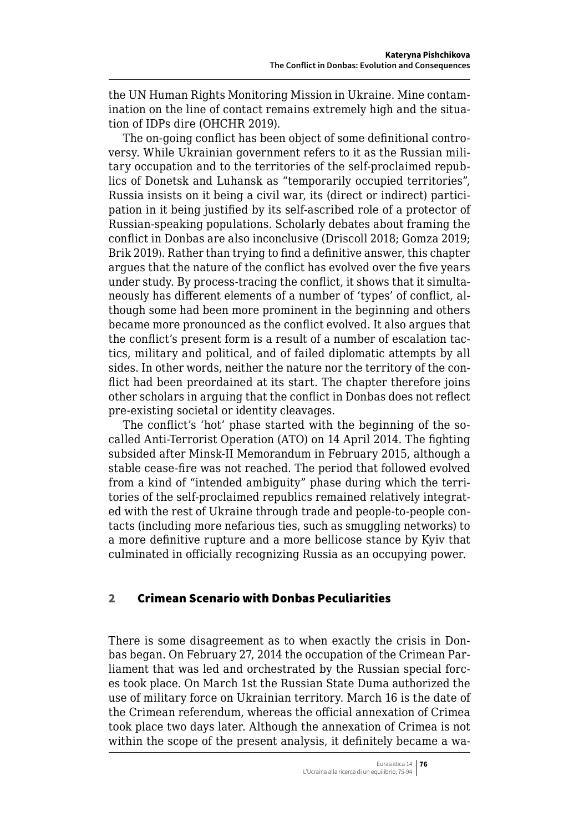<span id="page-1-0"></span>the UN Human Rights Monitoring Mission in Ukraine. Mine contamination on the line of contact remains extremely high and the situation of IDPs dire (OHCHR 2019).

The on-going conflict has been object of some definitional controversy. While Ukrainian government refers to it as the Russian military occupation and to the territories of the self-proclaimed republics of Donetsk and Luhansk as "temporarily occupied territories", Russia insists on it being a civil war, its (direct or indirect) participation in it being justified by its self-ascribed role of a protector of Russian-speaking populations. Scholarly debates about framing the conflict in Donbas are also inconclusive (Driscoll 2018; Gomza 2019; Brik 2019). Rather than trying to find a definitive answer, this chapter argues that the nature of the conflict has evolved over the five years under study. By process-tracing the conflict, it shows that it simultaneously has different elements of a number of 'types' of conflict, although some had been more prominent in the beginning and others became more pronounced as the conflict evolved. It also argues that the conflict's present form is a result of a number of escalation tactics, military and political, and of failed diplomatic attempts by all sides. In other words, neither the nature nor the territory of the conflict had been preordained at its start. The chapter therefore joins other scholars in arguing that the conflict in Donbas does not reflect pre-existing societal or identity cleavages.

The conflict's 'hot' phase started with the beginning of the socalled Anti-Terrorist Operation (ATO) on 14 April 2014. The fighting subsided after Minsk-II Memorandum in February 2015, although a stable cease-fire was not reached. The period that followed evolved from a kind of "intended ambiguity" phase during which the territories of the self-proclaimed republics remained relatively integrated with the rest of Ukraine through trade and people-to-people contacts (including more nefarious ties, such as smuggling networks) to a more definitive rupture and a more bellicose stance by Kyiv that culminated in officially recognizing Russia as an occupying power.

### 2 Crimean Scenario with Donbas Peculiarities

There is some disagreement as to when exactly the crisis in Donbas began. On February 27, 2014 the occupation of the Crimean Parliament that was led and orchestrated by the Russian special forces took place. On March 1st the Russian State Duma authorized the use of military force on Ukrainian territory. March 16 is the date of the Crimean referendum, whereas the official annexation of Crimea took place two days later. Although the annexation of Crimea is not within the scope of the present analysis, it definitely became a wa-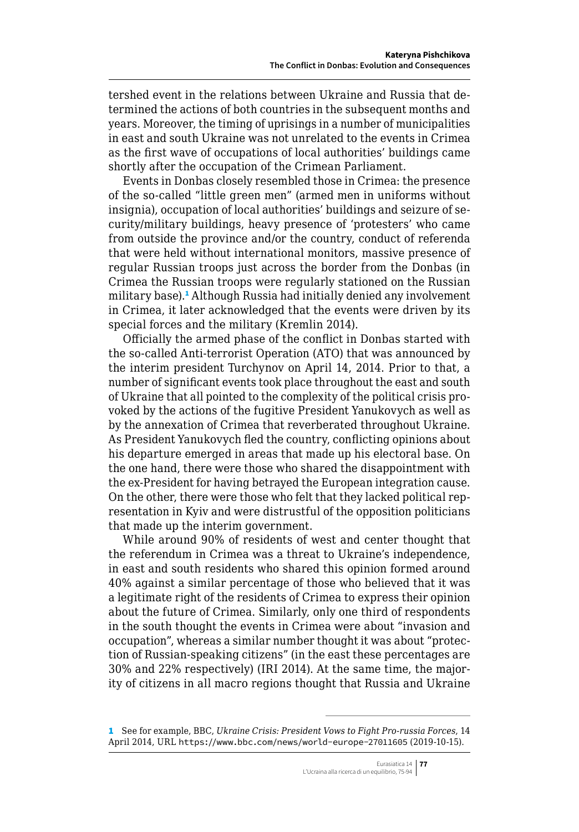<span id="page-2-0"></span>tershed event in the relations between Ukraine and Russia that determined the actions of both countries in the subsequent months and years. Moreover, the timing of uprisings in a number of municipalities in east and south Ukraine was not unrelated to the events in Crimea as the first wave of occupations of local authorities' buildings came shortly after the occupation of the Crimean Parliament.

Events in Donbas closely resembled those in Crimea: the presence of the so-called "little green men" (armed men in uniforms without insignia), occupation of local authorities' buildings and seizure of security/military buildings, heavy presence of 'protesters' who came from outside the province and/or the country, conduct of referenda that were held without international monitors, massive presence of regular Russian troops just across the border from the Donbas (in Crimea the Russian troops were regularly stationed on the Russian military base).<sup>1</sup> Although Russia had initially denied any involvement in Crimea, it later acknowledged that the events were driven by its special forces and the military (Kremlin 2014).

Officially the armed phase of the conflict in Donbas started with the so-called Anti-terrorist Operation (ATO) that was announced by the interim president Turchynov on April 14, 2014. Prior to that, a number of significant events took place throughout the east and south of Ukraine that all pointed to the complexity of the political crisis provoked by the actions of the fugitive President Yanukovych as well as by the annexation of Crimea that reverberated throughout Ukraine. As President Yanukovych fled the country, conflicting opinions about his departure emerged in areas that made up his electoral base. On the one hand, there were those who shared the disappointment with the ex-President for having betrayed the European integration cause. On the other, there were those who felt that they lacked political representation in Kyiv and were distrustful of the opposition politicians that made up the interim government.

While around 90% of residents of west and center thought that the referendum in Crimea was a threat to Ukraine's independence, in east and south residents who shared this opinion formed around 40% against a similar percentage of those who believed that it was a legitimate right of the residents of Crimea to express their opinion about the future of Crimea. Similarly, only one third of respondents in the south thought the events in Crimea were about "invasion and occupation", whereas a similar number thought it was about "protection of Russian-speaking citizens" (in the east these percentages are 30% and 22% respectively) (IRI 2014). At the same time, the majority of citizens in all macro regions thought that Russia and Ukraine

<sup>1</sup> See for example, BBC, *Ukraine Crisis: President Vows to Fight Pro-russia Forces*, 14 April 2014, URL <https://www.bbc.com/news/world-europe-27011605> (2019-10-15).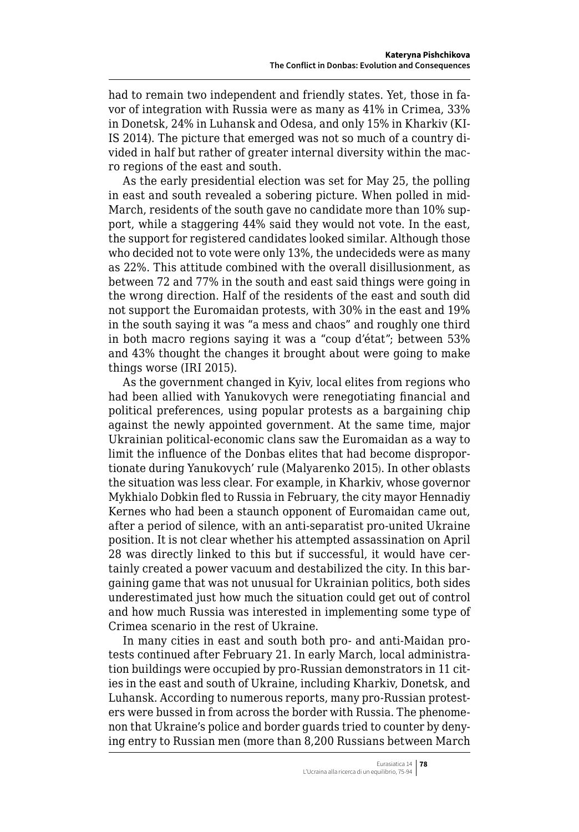had to remain two independent and friendly states. Yet, those in favor of integration with Russia were as many as 41% in Crimea, 33% in Donetsk, 24% in Luhansk and Odesa, and only 15% in Kharkiv (KI-IS 2014). The picture that emerged was not so much of a country divided in half but rather of greater internal diversity within the macro regions of the east and south.

As the early presidential election was set for May 25, the polling in east and south revealed a sobering picture. When polled in mid-March, residents of the south gave no candidate more than 10% support, while a staggering 44% said they would not vote. In the east, the support for registered candidates looked similar. Although those who decided not to vote were only 13%, the undecideds were as many as 22%. This attitude combined with the overall disillusionment, as between 72 and 77% in the south and east said things were going in the wrong direction. Half of the residents of the east and south did not support the Euromaidan protests, with 30% in the east and 19% in the south saying it was "a mess and chaos" and roughly one third in both macro regions saying it was a "coup d'état"; between 53% and 43% thought the changes it brought about were going to make things worse (IRI 2015).

As the government changed in Kyiv, local elites from regions who had been allied with Yanukovych were renegotiating financial and political preferences, using popular protests as a bargaining chip against the newly appointed government. At the same time, major Ukrainian political-economic clans saw the Euromaidan as a way to limit the influence of the Donbas elites that had become disproportionate during Yanukovych' rule (Malyarenko 2015). In other oblasts the situation was less clear. For example, in Kharkiv, whose governor Mykhialo Dobkin fled to Russia in February, the city mayor Hennadiy Kernes who had been a staunch opponent of Euromaidan came out, after a period of silence, with an anti-separatist pro-united Ukraine position. It is not clear whether his attempted assassination on April 28 was directly linked to this but if successful, it would have certainly created a power vacuum and destabilized the city. In this bargaining game that was not unusual for Ukrainian politics, both sides underestimated just how much the situation could get out of control and how much Russia was interested in implementing some type of Crimea scenario in the rest of Ukraine.

In many cities in east and south both pro- and anti-Maidan protests continued after February 21. In early March, local administration buildings were occupied by pro-Russian demonstrators in 11 cities in the east and south of Ukraine, including Kharkiv, Donetsk, and Luhansk. According to numerous reports, many pro-Russian protesters were bussed in from across the border with Russia. The phenomenon that Ukraine's police and border guards tried to counter by denying entry to Russian men (more than 8,200 Russians between March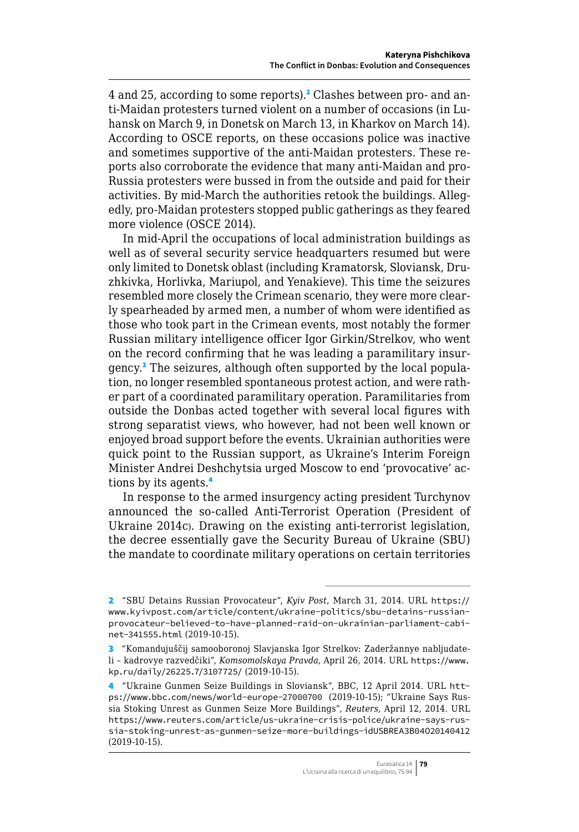4 and 25, according to some reports).<sup>2</sup> Clashes between pro- and anti-Maidan protesters turned violent on a number of occasions (in Luhansk on March 9, in Donetsk on March 13, in Kharkov on March 14). According to OSCE reports, on these occasions police was inactive and sometimes supportive of the anti-Maidan protesters. These reports also corroborate the evidence that many anti-Maidan and pro-Russia protesters were bussed in from the outside and paid for their activities. By mid-March the authorities retook the buildings. Allegedly, pro-Maidan protesters stopped public gatherings as they feared more violence (OSCE 2014).

In mid-April the occupations of local administration buildings as well as of several security service headquarters resumed but were only limited to Donetsk oblast (including Kramatorsk, Sloviansk, Druzhkivka, Horlivka, Mariupol, and Yenakieve). This time the seizures resembled more closely the Crimean scenario, they were more clearly spearheaded by armed men, a number of whom were identified as those who took part in the Crimean events, most notably the former Russian military intelligence officer Igor Girkin/Strelkov, who went on the record confirming that he was leading a paramilitary insurgency.<sup>3</sup> The seizures, although often supported by the local population, no longer resembled spontaneous protest action, and were rather part of a coordinated paramilitary operation. Paramilitaries from outside the Donbas acted together with several local figures with strong separatist views, who however, had not been well known or enjoyed broad support before the events. Ukrainian authorities were quick point to the Russian support, as Ukraine's Interim Foreign Minister Andrei Deshchytsia urged Moscow to end 'provocative' actions by its agents.<sup>4</sup>

In response to the armed insurgency acting president Turchynov announced the so-called Anti-Terrorist Operation (President of Ukraine 2014c). Drawing on the existing anti-terrorist legislation, the decree essentially gave the Security Bureau of Ukraine (SBU) the mandate to coordinate military operations on certain territories

<sup>2</sup> "SBU Detains Russian Provocateur", *Kyiv Post*, March 31, 2014. URL [https://](https://www.kyivpost.com/article/content/ukraine-politics/sbu-detains-russian-provocateur-believed-to-have-planned-raid-on-ukrainian-parliament-cabinet-341555.html) [www.kyivpost.com/article/content/ukraine-politics/sbu-detains-russian](https://www.kyivpost.com/article/content/ukraine-politics/sbu-detains-russian-provocateur-believed-to-have-planned-raid-on-ukrainian-parliament-cabinet-341555.html)[provocateur-believed-to-have-planned-raid-on-ukrainian-parliament-cabi](https://www.kyivpost.com/article/content/ukraine-politics/sbu-detains-russian-provocateur-believed-to-have-planned-raid-on-ukrainian-parliament-cabinet-341555.html)[net-341555.html](https://www.kyivpost.com/article/content/ukraine-politics/sbu-detains-russian-provocateur-believed-to-have-planned-raid-on-ukrainian-parliament-cabinet-341555.html) (2019-10-15).

<sup>3</sup> "Komandujuščij samooboronoj Slavjanska Igor Strelkov: Zaderžannye nabljudateli – kadrovye razvedčiki", *Komsomolskaya Pravda*, April 26, 2014. URL [https://www.](https://www.kp.ru/daily/26225.7/3107725/) [kp.ru/daily/26225.7/3107725/](https://www.kp.ru/daily/26225.7/3107725/) (2019-10-15).

<sup>4</sup> "Ukraine Gunmen Seize Buildings in Sloviansk", BBC, 12 April 2014. URL [htt](https://www.bbc.com/news/world-europe-27000700)[ps://www.bbc.com/news/world-europe-27000700](https://www.bbc.com/news/world-europe-27000700) (2019-10-15); "Ukraine Says Russia Stoking Unrest as Gunmen Seize More Buildings", *Reuters*, April 12, 2014. URL [https://www.reuters.com/article/us-ukraine-crisis-police/ukraine-says-rus](https://www.reuters.com/article/us-ukraine-crisis-police/ukraine-says-russia-stoking-unrest-as-gunmen-seize-more-buildings-idUSBREA3B04O20140412)[sia-stoking-unrest-as-gunmen-seize-more-buildings-idUSBREA3B04O20140412](https://www.reuters.com/article/us-ukraine-crisis-police/ukraine-says-russia-stoking-unrest-as-gunmen-seize-more-buildings-idUSBREA3B04O20140412) (2019-10-15).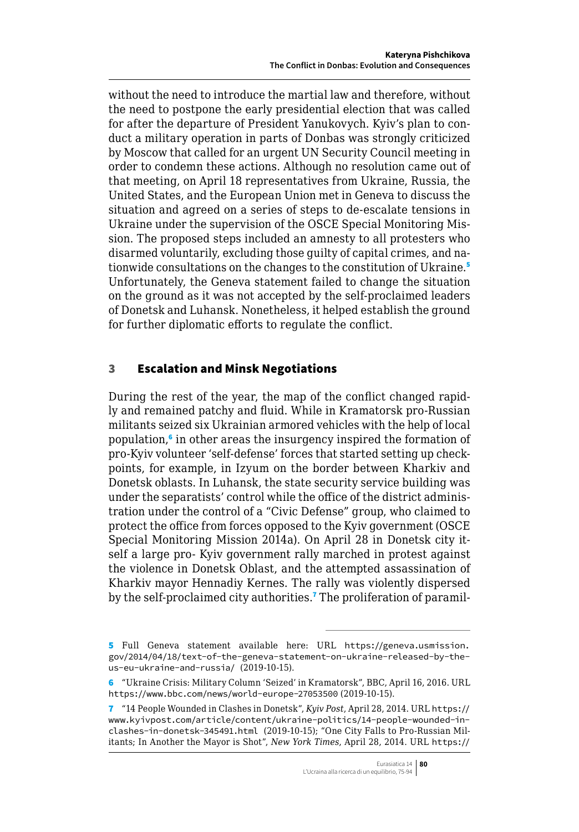<span id="page-5-0"></span>without the need to introduce the martial law and therefore, without the need to postpone the early presidential election that was called for after the departure of President Yanukovych. Kyiv's plan to conduct a military operation in parts of Donbas was strongly criticized by Moscow that called for an urgent UN Security Council meeting in order to condemn these actions. Although no resolution came out of that meeting, on April 18 representatives from Ukraine, Russia, the United States, and the European Union met in Geneva to discuss the situation and agreed on a series of steps to de-escalate tensions in Ukraine under the supervision of the OSCE Special Monitoring Mission. The proposed steps included an amnesty to all protesters who disarmed voluntarily, excluding those guilty of capital crimes, and nationwide consultations on the changes to the constitution of Ukraine.<sup>5</sup> Unfortunately, the Geneva statement failed to change the situation on the ground as it was not accepted by the self-proclaimed leaders of Donetsk and Luhansk. Nonetheless, it helped establish the ground for further diplomatic efforts to regulate the conflict.

### 3 Escalation and Minsk Negotiations

During the rest of the year, the map of the conflict changed rapidly and remained patchy and fluid. While in Kramatorsk pro-Russian militants seized six Ukrainian armored vehicles with the help of local population,<sup>6</sup> in other areas the insurgency inspired the formation of pro-Kyiv volunteer 'self-defense' forces that started setting up checkpoints, for example, in Izyum on the border between Kharkiv and Donetsk oblasts. In Luhansk, the state security service building was under the separatists' control while the office of the district administration under the control of a "Civic Defense" group, who claimed to protect the office from forces opposed to the Kyiv government (OSCE Special Monitoring Mission 2014a). On April 28 in Donetsk city itself a large pro- Kyiv government rally marched in protest against the violence in Donetsk Oblast, and the attempted assassination of Kharkiv mayor Hennadiy Kernes. The rally was violently dispersed by the self-proclaimed city authorities.<sup>7</sup> The proliferation of paramil-

<sup>5</sup> Full Geneva statement available here: URL [https://geneva.usmission.](https://geneva.usmission.gov/2014/04/18/text-of-the-geneva-statement-on-ukraine-released-by-the-us-eu-ukraine-and-russia/) [gov/2014/04/18/text-of-the-geneva-statement-on-ukraine-released-by-the](https://geneva.usmission.gov/2014/04/18/text-of-the-geneva-statement-on-ukraine-released-by-the-us-eu-ukraine-and-russia/)[us-eu-ukraine-and-russia/](https://geneva.usmission.gov/2014/04/18/text-of-the-geneva-statement-on-ukraine-released-by-the-us-eu-ukraine-and-russia/) (2019-10-15).

<sup>6</sup> "Ukraine Crisis: Military Column 'Seized' in Kramatorsk", BBC, April 16, 2016. URL <https://www.bbc.com/news/world-europe-27053500> (2019-10-15).

<sup>7</sup> "14 People Wounded in Clashes in Donetsk", *Kyiv Post*, April 28, 2014. URL [https://](https://www.kyivpost.com/article/content/ukraine-politics/14-people-wounded-in-clashes-in-donetsk-345491.html) [www.kyivpost.com/article/content/ukraine-politics/14-people-wounded-in](https://www.kyivpost.com/article/content/ukraine-politics/14-people-wounded-in-clashes-in-donetsk-345491.html)[clashes-in-donetsk-345491.html](https://www.kyivpost.com/article/content/ukraine-politics/14-people-wounded-in-clashes-in-donetsk-345491.html) (2019-10-15); "One City Falls to Pro-Russian Militants; In Another the Mayor is Shot", *New York Times*, April 28, 2014. URL [https://](https://www.nytimes.com/2014/04/29/world/europe/one-city-falls-to-pro-russian-militants-in-another-the-mayor-is-shot.html?_r=0)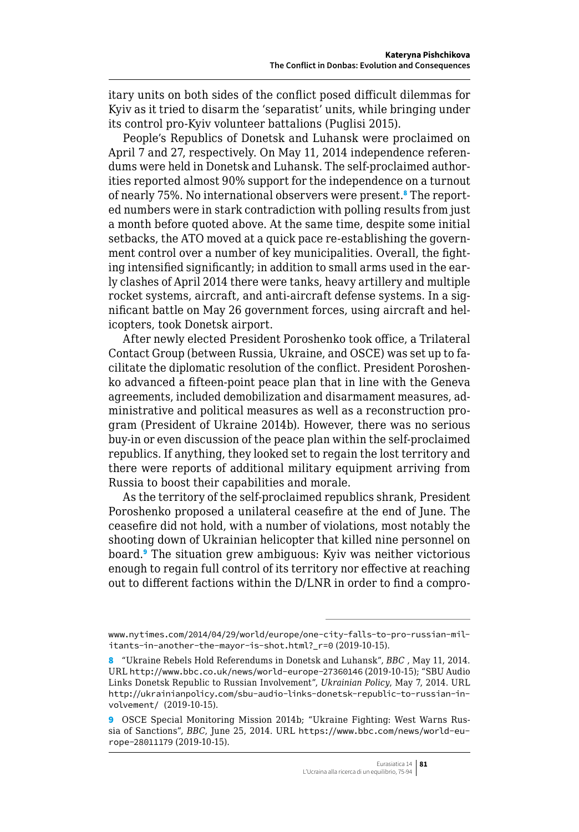itary units on both sides of the conflict posed difficult dilemmas for Kyiv as it tried to disarm the 'separatist' units, while bringing under its control pro-Kyiv volunteer battalions (Puglisi 2015).

People's Republics of Donetsk and Luhansk were proclaimed on April 7 and 27, respectively. On May 11, 2014 independence referendums were held in Donetsk and Luhansk. The self-proclaimed authorities reported almost 90% support for the independence on a turnout of nearly 75%. No international observers were present.<sup>8</sup> The reported numbers were in stark contradiction with polling results from just a month before quoted above. At the same time, despite some initial setbacks, the ATO moved at a quick pace re-establishing the government control over a number of key municipalities. Overall, the fighting intensified significantly; in addition to small arms used in the early clashes of April 2014 there were tanks, heavy artillery and multiple rocket systems, aircraft, and anti-aircraft defense systems. In a significant battle on May 26 government forces, using aircraft and helicopters, took Donetsk airport.

After newly elected President Poroshenko took office, a Trilateral Contact Group (between Russia, Ukraine, and OSCE) was set up to facilitate the diplomatic resolution of the conflict. President Poroshenko advanced a fifteen-point peace plan that in line with the Geneva agreements, included demobilization and disarmament measures, administrative and political measures as well as a reconstruction program (President of Ukraine 2014b). However, there was no serious buy-in or even discussion of the peace plan within the self-proclaimed republics. If anything, they looked set to regain the lost territory and there were reports of additional military equipment arriving from Russia to boost their capabilities and morale.

As the territory of the self-proclaimed republics shrank, President Poroshenko proposed a unilateral ceasefire at the end of June. The ceasefire did not hold, with a number of violations, most notably the shooting down of Ukrainian helicopter that killed nine personnel on board.<sup>9</sup> The situation grew ambiguous: Kyiv was neither victorious enough to regain full control of its territory nor effective at reaching out to different factions within the D/LNR in order to find a compro-

[www.nytimes.com/2014/04/29/world/europe/one-city-falls-to-pro-russian-mil](https://www.nytimes.com/2014/04/29/world/europe/one-city-falls-to-pro-russian-militants-in-another-the-mayor-is-shot.html?_r=0)[itants-in-another-the-mayor-is-shot.html?\\_r=0](https://www.nytimes.com/2014/04/29/world/europe/one-city-falls-to-pro-russian-militants-in-another-the-mayor-is-shot.html?_r=0) (2019-10-15).

<sup>8</sup> "Ukraine Rebels Hold Referendums in Donetsk and Luhansk", *BBC* , May 11, 2014. URL [http://www.bbc.co.uk/n](http://www.bbc.co.uk/)ews/world-europe-27360146 (2019-10-15); "SBU Audio Links Donetsk Republic to Russian Involvement", *Ukrainian Policy*, May 7, 2014. URL <http://ukrainianpolicy.com/>sbu-audio-links-donetsk-republic-to-russian-involvement/ (2019-10-15).

<sup>9</sup> OSCE Special Monitoring Mission 2014b; "Ukraine Fighting: West Warns Russia of Sanctions", *BBC*, June 25, 2014. URL [https://www.bbc.com/news/world-eu](https://www.bbc.com/news/world-europe-28011179)[rope-28011179](https://www.bbc.com/news/world-europe-28011179) (2019-10-15).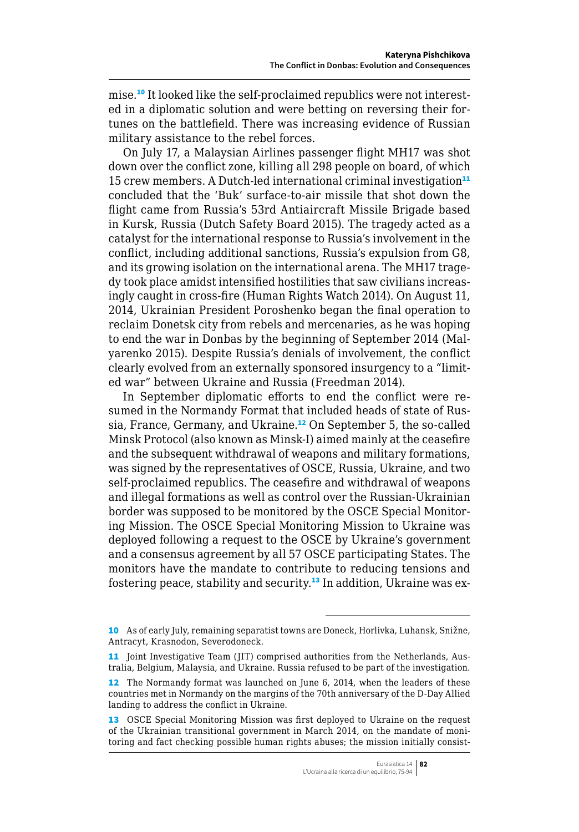mise.10 It looked like the self-proclaimed republics were not interested in a diplomatic solution and were betting on reversing their fortunes on the battlefield. There was increasing evidence of Russian military assistance to the rebel forces.

On July 17, a Malaysian Airlines passenger flight MH17 was shot down over the conflict zone, killing all 298 people on board, of which 15 crew members. A Dutch-led international criminal investigation $11$ concluded that the 'Buk' surface-to-air missile that shot down the flight came from Russia's 53rd Antiaircraft Missile Brigade based in Kursk, Russia (Dutch Safety Board 2015). The tragedy acted as a catalyst for the international response to Russia's involvement in the conflict, including additional sanctions, Russia's expulsion from G8, and its growing isolation on the international arena. The MH17 tragedy took place amidst intensified hostilities that saw civilians increasingly caught in cross-fire (Human Rights Watch 2014). On August 11, 2014, Ukrainian President Poroshenko began the final operation to reclaim Donetsk city from rebels and mercenaries, as he was hoping to end the war in Donbas by the beginning of September 2014 (Malyarenko 2015). Despite Russia's denials of involvement, the conflict clearly evolved from an externally sponsored insurgency to a "limited war" between Ukraine and Russia (Freedman 2014).

In September diplomatic efforts to end the conflict were resumed in the Normandy Format that included heads of state of Russia, France, Germany, and Ukraine.<sup>12</sup> On September 5, the so-called Minsk Protocol (also known as Minsk-I) aimed mainly at the ceasefire and the subsequent withdrawal of weapons and military formations, was signed by the representatives of OSCE, Russia, Ukraine, and two self-proclaimed republics. The ceasefire and withdrawal of weapons and illegal formations as well as control over the Russian-Ukrainian border was supposed to be monitored by the OSCE Special Monitoring Mission. The OSCE Special Monitoring Mission to Ukraine was deployed following a request to the OSCE by Ukraine's government and a consensus agreement by all 57 OSCE participating States. The monitors have the mandate to contribute to reducing tensions and fostering peace, stability and security.<sup>13</sup> In addition, Ukraine was ex-

<sup>10</sup> As of early July, remaining separatist towns are Doneck, Horlivka, Luhansk, Snižne, Antracyt, Krasnodon, Severodoneck.

<sup>11</sup> Joint Investigative Team (JIT) comprised authorities from the Netherlands, Australia, Belgium, Malaysia, and Ukraine. Russia refused to be part of the investigation.

<sup>12</sup> The Normandy format was launched on June 6, 2014, when the leaders of these countries met in Normandy on the margins of the 70th anniversary of the D-Day Allied landing to address the conflict in Ukraine.

<sup>13</sup> OSCE Special Monitoring Mission was first deployed to Ukraine on the request of the Ukrainian transitional government in March 2014, on the mandate of monitoring and fact checking possible human rights abuses; the mission initially consist-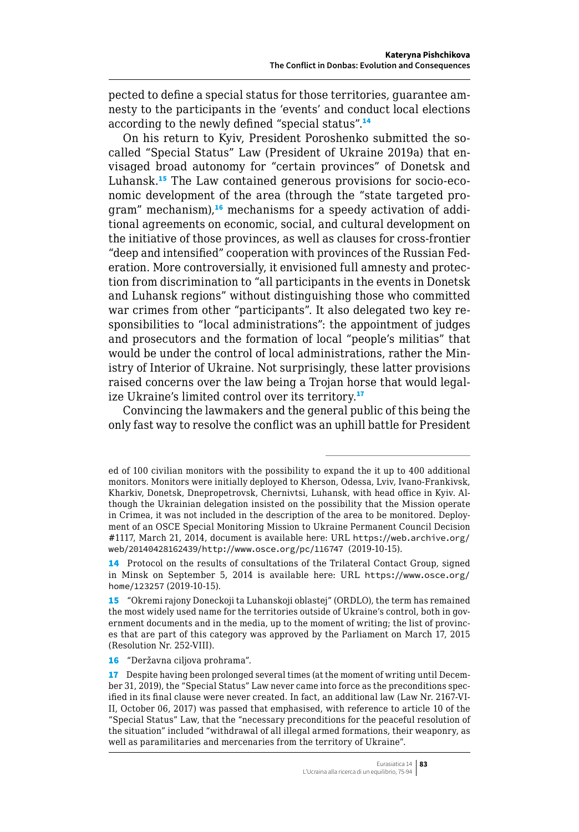pected to define a special status for those territories, guarantee amnesty to the participants in the 'events' and conduct local elections according to the newly defined "special status".<sup>14</sup>

On his return to Kyiv, President Poroshenko submitted the socalled "Special Status" Law (President of Ukraine 2019a) that envisaged broad autonomy for "certain provinces" of Donetsk and Luhansk.15 The Law contained generous provisions for socio-economic development of the area (through the "state targeted program" mechanism),<sup>16</sup> mechanisms for a speedy activation of additional agreements on economic, social, and cultural development on the initiative of those provinces, as well as clauses for cross-frontier "deep and intensified" cooperation with provinces of the Russian Federation. More controversially, it envisioned full amnesty and protection from discrimination to "all participants in the events in Donetsk and Luhansk regions" without distinguishing those who committed war crimes from other "participants". It also delegated two key responsibilities to "local administrations": the appointment of judges and prosecutors and the formation of local "people's militias" that would be under the control of local administrations, rather the Ministry of Interior of Ukraine. Not surprisingly, these latter provisions raised concerns over the law being a Trojan horse that would legalize Ukraine's limited control over its territory.<sup>17</sup>

Convincing the lawmakers and the general public of this being the only fast way to resolve the conflict was an uphill battle for President

ed of 100 civilian monitors with the possibility to expand the it up to 400 additional monitors. Monitors were initially deployed to Kherson, Odessa, Lviv, Ivano-Frankivsk, Kharkiv, Donetsk, Dnepropetrovsk, Chernivtsi, Luhansk, with head office in Kyiv. Although the Ukrainian delegation insisted on the possibility that the Mission operate in Crimea, it was not included in the description of the area to be monitored. Deployment of an OSCE Special Monitoring Mission to Ukraine Permanent Council Decision #1117, March 21, 2014, document is available here: URL [https://web.archive.org/](https://web.archive.org/web/20140428162439/http://www.osce.org/pc/116747) [web/20140428162439/http://www.osce.org/pc/116747](https://web.archive.org/web/20140428162439/http://www.osce.org/pc/116747) (2019-10-15).

<sup>14</sup> Protocol on the results of consultations of the Trilateral Contact Group, signed in Minsk on September 5, 2014 is available here: URL [https://www.osce.org/](https://www.osce.org/home/123257) [home/123257](https://www.osce.org/home/123257) (2019-10-15).

<sup>15</sup> "Okremi rajony Doneckoji ta Luhanskoji oblastej" (ORDLO), the term has remained the most widely used name for the territories outside of Ukraine's control, both in government documents and in the media, up to the moment of writing; the list of provinces that are part of this category was approved by the Parliament on March 17, 2015 (Resolution Nr. 252-VIII).

<sup>16</sup> "Deržavna ciljova prohrama".

<sup>17</sup> Despite having been prolonged several times (at the moment of writing until December 31, 2019), the "Special Status" Law never came into force as the preconditions specified in its final clause were never created. In fact, an additional law (Law Nr. 2167-VI-II, October 06, 2017) was passed that emphasised, with reference to article 10 of the "Special Status" Law, that the "necessary preconditions for the peaceful resolution of the situation" included "withdrawal of all illegal armed formations, their weaponry, as well as paramilitaries and mercenaries from the territory of Ukraine".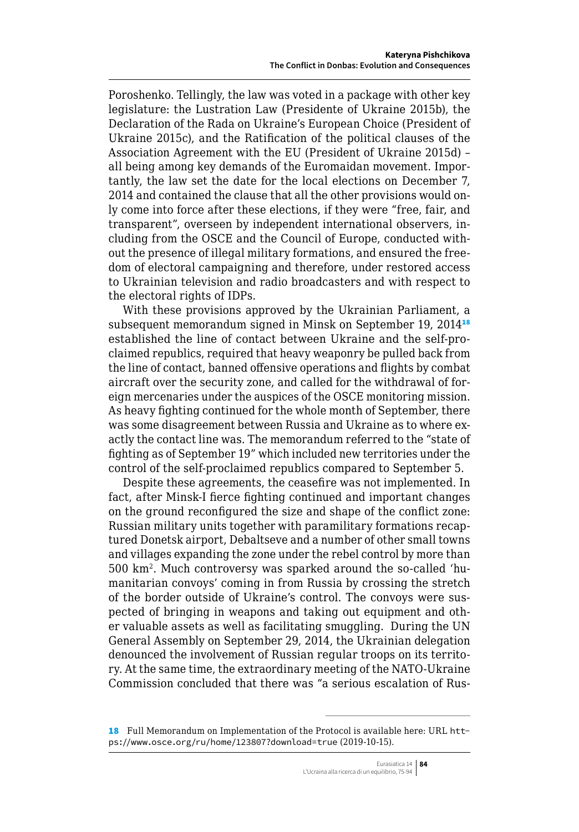Poroshenko. Tellingly, the law was voted in a package with other key legislature: the Lustration Law (Presidente of Ukraine 2015b), the Declaration of the Rada on Ukraine's European Choice (President of Ukraine 2015c), and the Ratification of the political clauses of the Association Agreement with the EU (President of Ukraine 2015d) – all being among key demands of the Euromaidan movement. Importantly, the law set the date for the local elections on December 7, 2014 and contained the clause that all the other provisions would only come into force after these elections, if they were "free, fair, and transparent", overseen by independent international observers, including from the OSCE and the Council of Europe, conducted without the presence of illegal military formations, and ensured the freedom of electoral campaigning and therefore, under restored access to Ukrainian television and radio broadcasters and with respect to the electoral rights of IDPs.

With these provisions approved by the Ukrainian Parliament, a subsequent memorandum signed in Minsk on September 19, 2014<sup>18</sup> established the line of contact between Ukraine and the self-proclaimed republics, required that heavy weaponry be pulled back from the line of contact, banned offensive operations and flights by combat aircraft over the security zone, and called for the withdrawal of foreign mercenaries under the auspices of the OSCE monitoring mission. As heavy fighting continued for the whole month of September, there was some disagreement between Russia and Ukraine as to where exactly the contact line was. The memorandum referred to the "state of fighting as of September 19" which included new territories under the control of the self-proclaimed republics compared to September 5.

Despite these agreements, the ceasefire was not implemented. In fact, after Minsk-I fierce fighting continued and important changes on the ground reconfigured the size and shape of the conflict zone: Russian military units together with paramilitary formations recaptured Donetsk airport, Debaltseve and a number of other small towns and villages expanding the zone under the rebel control by more than 500 km2. Much controversy was sparked around the so-called 'humanitarian convoys' coming in from Russia by crossing the stretch of the border outside of Ukraine's control. The convoys were suspected of bringing in weapons and taking out equipment and other valuable assets as well as facilitating smuggling. During the UN General Assembly on September 29, 2014, the Ukrainian delegation denounced the involvement of Russian regular troops on its territory. At the same time, the extraordinary meeting of the NATO-Ukraine Commission concluded that there was "a serious escalation of Rus-

<sup>18</sup> Full Memorandum on Implementation of the Protocol is available here: URL [htt](https://www.osce.org/ru/home/123807?download=true)[ps://www.osce.org/ru/home/123807?download=true](https://www.osce.org/ru/home/123807?download=true) (2019-10-15).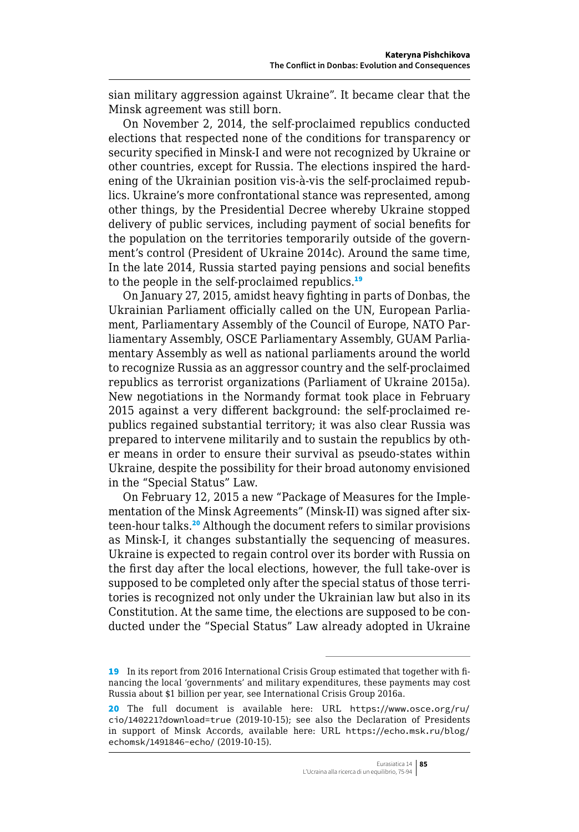sian military aggression against Ukraine". It became clear that the Minsk agreement was still born.

On November 2, 2014, the self-proclaimed republics conducted elections that respected none of the conditions for transparency or security specified in Minsk-I and were not recognized by Ukraine or other countries, except for Russia. The elections inspired the hardening of the Ukrainian position vis-à-vis the self-proclaimed republics. Ukraine's more confrontational stance was represented, among other things, by the Presidential Decree whereby Ukraine stopped delivery of public services, including payment of social benefits for the population on the territories temporarily outside of the government's control (President of Ukraine 2014c). Around the same time, In the late 2014, Russia started paying pensions and social benefits to the people in the self-proclaimed republics.<sup>19</sup>

On January 27, 2015, amidst heavy fighting in parts of Donbas, the Ukrainian Parliament officially called on the UN, European Parliament, Parliamentary Assembly of the Council of Europe, NATO Parliamentary Assembly, OSCE Parliamentary Assembly, GUAM Parliamentary Assembly as well as national parliaments around the world to recognize Russia as an aggressor country and the self-proclaimed republics as terrorist organizations (Parliament of Ukraine 2015a). New negotiations in the Normandy format took place in February 2015 against a very different background: the self-proclaimed republics regained substantial territory; it was also clear Russia was prepared to intervene militarily and to sustain the republics by other means in order to ensure their survival as pseudo-states within Ukraine, despite the possibility for their broad autonomy envisioned in the "Special Status" Law.

On February 12, 2015 a new "Package of Measures for the Implementation of the Minsk Agreements" (Minsk-II) was signed after sixteen-hour talks.<sup>20</sup> Although the document refers to similar provisions as Minsk-I, it changes substantially the sequencing of measures. Ukraine is expected to regain control over its border with Russia on the first day after the local elections, however, the full take-over is supposed to be completed only after the special status of those territories is recognized not only under the Ukrainian law but also in its Constitution. At the same time, the elections are supposed to be conducted under the "Special Status" Law already adopted in Ukraine

<sup>19</sup> In its report from 2016 International Crisis Group estimated that together with financing the local 'governments' and military expenditures, these payments may cost Russia about \$1 billion per year, see International Crisis Group 2016a.

<sup>20</sup> The full document is available here: URL [https://www.osce.org/ru/](https://www.osce.org/ru/cio/140221?download=true) [cio/140221?download=true](https://www.osce.org/ru/cio/140221?download=true) (2019-10-15); see also the Declaration of Presidents in support of Minsk Accords, available here: URL [https://echo.msk.ru/blog/](https://echo.msk.ru/blog/echomsk/1491846-echo/) [echomsk/1491846-echo/](https://echo.msk.ru/blog/echomsk/1491846-echo/) (2019-10-15).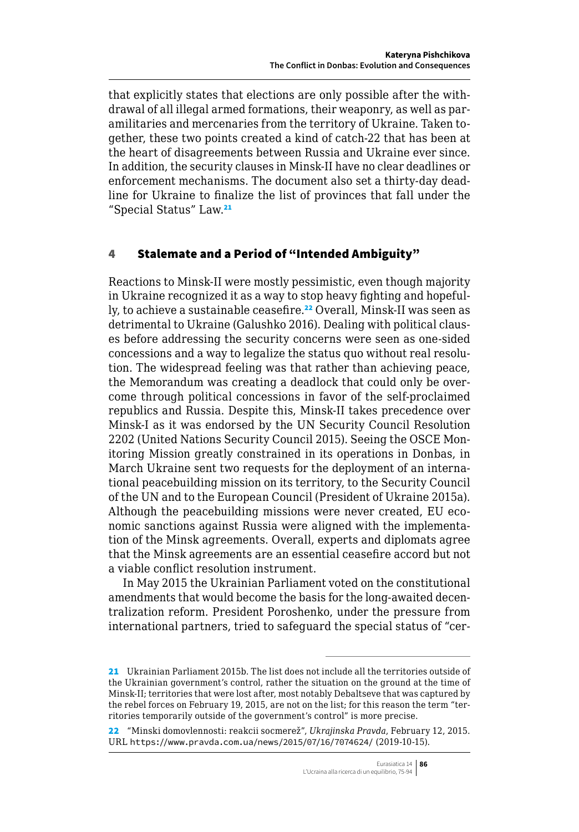<span id="page-11-0"></span>that explicitly states that elections are only possible after the withdrawal of all illegal armed formations, their weaponry, as well as paramilitaries and mercenaries from the territory of Ukraine. Taken together, these two points created a kind of catch-22 that has been at the heart of disagreements between Russia and Ukraine ever since. In addition, the security clauses in Minsk-II have no clear deadlines or enforcement mechanisms. The document also set a thirty-day deadline for Ukraine to finalize the list of provinces that fall under the "Special Status" Law.<sup>21</sup>

#### 4 Stalemate and a Period of "Intended Ambiguity"

Reactions to Minsk-II were mostly pessimistic, even though majority in Ukraine recognized it as a way to stop heavy fighting and hopefully, to achieve a sustainable ceasefire.<sup>22</sup> Overall, Minsk-II was seen as detrimental to Ukraine (Galushko 2016). Dealing with political clauses before addressing the security concerns were seen as one-sided concessions and a way to legalize the status quo without real resolution. The widespread feeling was that rather than achieving peace, the Memorandum was creating a deadlock that could only be overcome through political concessions in favor of the self-proclaimed republics and Russia. Despite this, Minsk-II takes precedence over Minsk-I as it was endorsed by the UN Security Council Resolution 2202 (United Nations Security Council 2015). Seeing the OSCE Monitoring Mission greatly constrained in its operations in Donbas, in March Ukraine sent two requests for the deployment of an international peacebuilding mission on its territory, to the Security Council of the UN and to the European Council (President of Ukraine 2015a). Although the peacebuilding missions were never created, EU economic sanctions against Russia were aligned with the implementation of the Minsk agreements. Overall, experts and diplomats agree that the Minsk agreements are an essential ceasefire accord but not a viable conflict resolution instrument.

In May 2015 the Ukrainian Parliament voted on the constitutional amendments that would become the basis for the long-awaited decentralization reform. President Poroshenko, under the pressure from international partners, tried to safeguard the special status of "cer-

<sup>21</sup> Ukrainian Parliament 2015b. The list does not include all the territories outside of the Ukrainian government's control, rather the situation on the ground at the time of Minsk-II; territories that were lost after, most notably Debaltseve that was captured by the rebel forces on February 19, 2015, are not on the list; for this reason the term "territories temporarily outside of the government's control" is more precise.

<sup>22</sup> "Minski domovlennosti: reakcii socmerež", *Ukrajinska Pravda*, February 12, 2015. URL <https://www.pravda.com.ua/news/2015/07/16/7074624/> (2019-10-15).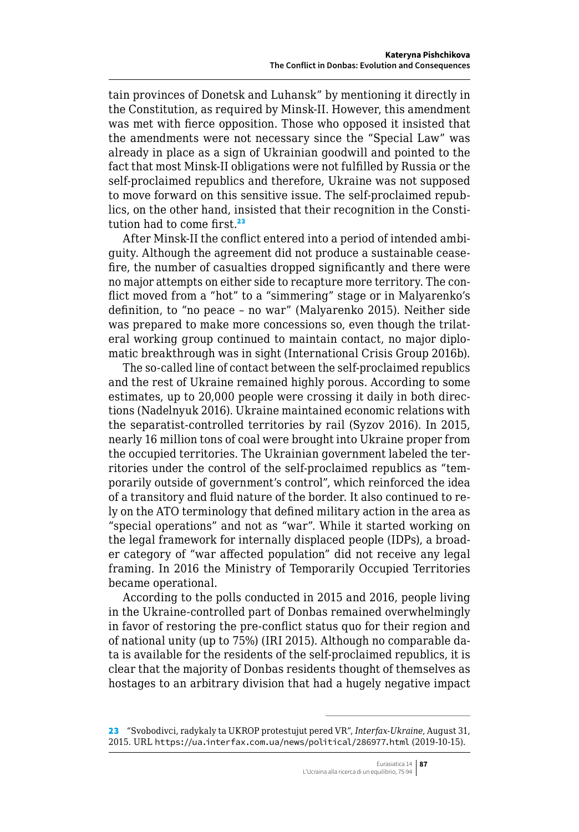tain provinces of Donetsk and Luhansk" by mentioning it directly in the Constitution, as required by Minsk-II. However, this amendment was met with fierce opposition. Those who opposed it insisted that the amendments were not necessary since the "Special Law" was already in place as a sign of Ukrainian goodwill and pointed to the fact that most Minsk-II obligations were not fulfilled by Russia or the self-proclaimed republics and therefore, Ukraine was not supposed to move forward on this sensitive issue. The self-proclaimed republics, on the other hand, insisted that their recognition in the Constitution had to come first.<sup>23</sup>

After Minsk-II the conflict entered into a period of intended ambiguity. Although the agreement did not produce a sustainable ceasefire, the number of casualties dropped significantly and there were no major attempts on either side to recapture more territory. The conflict moved from a "hot" to a "simmering" stage or in Malyarenko's definition, to "no peace – no war" (Malyarenko 2015). Neither side was prepared to make more concessions so, even though the trilateral working group continued to maintain contact, no major diplomatic breakthrough was in sight (International Crisis Group 2016b).

The so-called line of contact between the self-proclaimed republics and the rest of Ukraine remained highly porous. According to some estimates, up to 20,000 people were crossing it daily in both directions (Nadelnyuk 2016). Ukraine maintained economic relations with the separatist-controlled territories by rail (Syzov 2016). In 2015, nearly 16 million tons of coal were brought into Ukraine proper from the occupied territories. The Ukrainian government labeled the territories under the control of the self-proclaimed republics as "temporarily outside of government's control", which reinforced the idea of a transitory and fluid nature of the border. It also continued to rely on the ATO terminology that defined military action in the area as "special operations" and not as "war". While it started working on the legal framework for internally displaced people (IDPs), a broader category of "war affected population" did not receive any legal framing. In 2016 the Ministry of Temporarily Occupied Territories became operational.

According to the polls conducted in 2015 and 2016, people living in the Ukraine-controlled part of Donbas remained overwhelmingly in favor of restoring the pre-conflict status quo for their region and of national unity (up to 75%) (IRI 2015). Although no comparable data is available for the residents of the self-proclaimed republics, it is clear that the majority of Donbas residents thought of themselves as hostages to an arbitrary division that had a hugely negative impact

<sup>23</sup> "Svobodivci, radykaly ta UKROP protestujut pered VR", *Interfax-Ukraine*, August 31, 2015. URL <https://ua.interfax.com.ua/news/political/286977.html> (2019-10-15).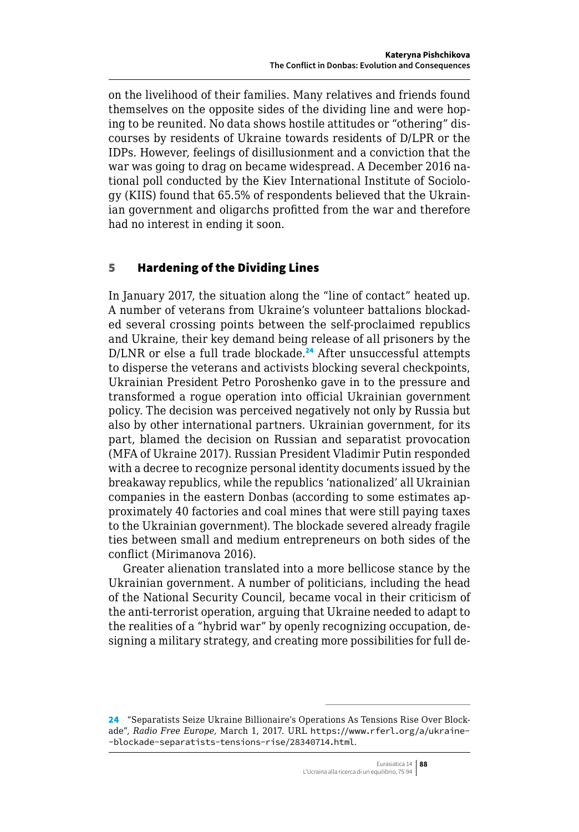<span id="page-13-0"></span>on the livelihood of their families. Many relatives and friends found themselves on the opposite sides of the dividing line and were hoping to be reunited. No data shows hostile attitudes or "othering" discourses by residents of Ukraine towards residents of D/LPR or the IDPs. However, feelings of disillusionment and a conviction that the war was going to drag on became widespread. A December 2016 national poll conducted by the Kiev International Institute of Sociology (KIIS) found that 65.5% of respondents believed that the Ukrainian government and oligarchs profitted from the war and therefore had no interest in ending it soon.

### 5 Hardening of the Dividing Lines

In January 2017, the situation along the "line of contact" heated up. A number of veterans from Ukraine's volunteer battalions blockaded several crossing points between the self-proclaimed republics and Ukraine, their key demand being release of all prisoners by the D/LNR or else a full trade blockade.<sup>24</sup> After unsuccessful attempts to disperse the veterans and activists blocking several checkpoints, Ukrainian President Petro Poroshenko gave in to the pressure and transformed a rogue operation into official Ukrainian government policy. The decision was perceived negatively not only by Russia but also by other international partners. Ukrainian government, for its part, blamed the decision on Russian and separatist provocation (MFA of Ukraine 2017). Russian President Vladimir Putin responded with a decree to recognize personal identity documents issued by the breakaway republics, while the republics 'nationalized' all Ukrainian companies in the eastern Donbas (according to some estimates approximately 40 factories and coal mines that were still paying taxes to the Ukrainian government). The blockade severed already fragile ties between small and medium entrepreneurs on both sides of the conflict (Mirimanova 2016).

Greater alienation translated into a more bellicose stance by the Ukrainian government. A number of politicians, including the head of the National Security Council, became vocal in their criticism of the anti-terrorist operation, arguing that Ukraine needed to adapt to the realities of a "hybrid war" by openly recognizing occupation, designing a military strategy, and creating more possibilities for full de-

<sup>24</sup> "Separatists Seize Ukraine Billionaire's Operations As Tensions Rise Over Blockade", *Radio Free Europe*, March 1, 2017. URL [https://www.rferl.org/a/ukraine-](https://www.rferl.org/a/ukraine--blockade-separatists-tensions-rise/28340714.html) [-blockade-separatists-tensions-rise/28340714.html](https://www.rferl.org/a/ukraine--blockade-separatists-tensions-rise/28340714.html).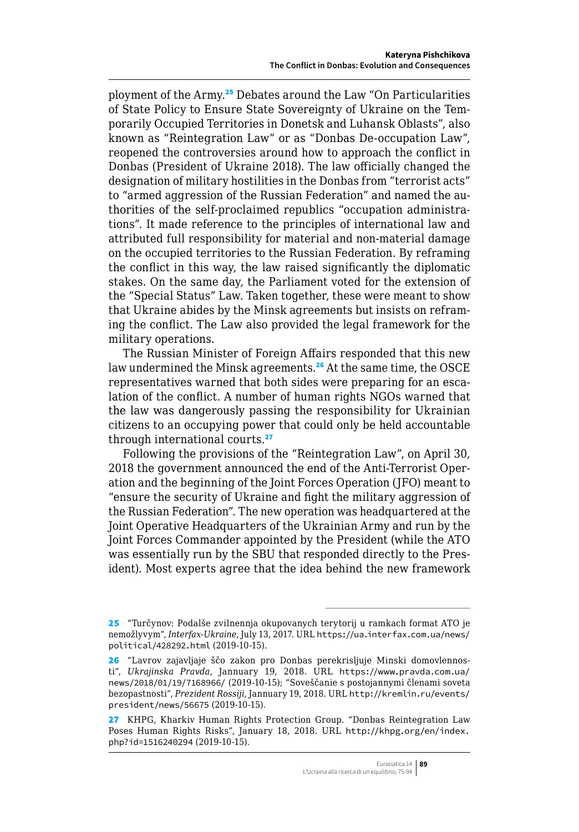ployment of the Army.<sup>25</sup> Debates around the Law "On Particularities of State Policy to Ensure State Sovereignty of Ukraine on the Temporarily Occupied Territories in Donetsk and Luhansk Oblasts", also known as "Reintegration Law" or as "Donbas De-occupation Law", reopened the controversies around how to approach the conflict in Donbas (President of Ukraine 2018). The law officially changed the designation of military hostilities in the Donbas from "terrorist acts" to "armed aggression of the Russian Federation" and named the authorities of the self-proclaimed republics "occupation administrations". It made reference to the principles of international law and attributed full responsibility for material and non-material damage on the occupied territories to the Russian Federation. By reframing the conflict in this way, the law raised significantly the diplomatic stakes. On the same day, the Parliament voted for the extension of the "Special Status" Law. Taken together, these were meant to show that Ukraine abides by the Minsk agreements but insists on reframing the conflict. The Law also provided the legal framework for the military operations.

The Russian Minister of Foreign Affairs responded that this new law undermined the Minsk agreements.<sup>26</sup> At the same time, the OSCE representatives warned that both sides were preparing for an escalation of the conflict. A number of human rights NGOs warned that the law was dangerously passing the responsibility for Ukrainian citizens to an occupying power that could only be held accountable through international courts.<sup>27</sup>

Following the provisions of the "Reintegration Law", on April 30, 2018 the government announced the end of the Anti-Terrorist Operation and the beginning of the Joint Forces Operation (JFO) meant to "ensure the security of Ukraine and fight the military aggression of the Russian Federation". The new operation was headquartered at the Joint Operative Headquarters of the Ukrainian Army and run by the Joint Forces Commander appointed by the President (while the ATO was essentially run by the SBU that responded directly to the President). Most experts agree that the idea behind the new framework

<sup>25</sup> "Turčynov: Podalše zvilnennja okupovanych terytorij u ramkach format ATO je nemožlyvym", *Interfax-Ukraine*, July 13, 2017. URL [https://ua.interfax.com.ua/news/](https://ua.interfax.com.ua/news/political/428292.html) [political/428292.html](https://ua.interfax.com.ua/news/political/428292.html) (2019-10-15).

<sup>26</sup> "Lavrov zajavljaje ščo zakon pro Donbas perekrisljuje Minski domovlennosti", *Ukrajinska Pravda*, Jannuary 19, 2018. URL [https://www.pravda.com.ua/](https://www.pravda.com.ua/news/2018/01/19/7168966/) [news/2018/01/19/7168966/](https://www.pravda.com.ua/news/2018/01/19/7168966/) (2019-10-15); "Soveščanie s postojannymi členami soveta bezopastnosti", *Prezident Rossiji*, Jannuary 19, 2018. URL [http://kremlin.ru/events/](http://kremlin.ru/events/president/news/56675) [president/news/56675](http://kremlin.ru/events/president/news/56675) (2019-10-15).

<sup>27</sup> KHPG, Kharkiv Human Rights Protection Group. "Donbas Reintegration Law Poses Human Rights Risks", January 18, 2018. URL [http://khpg.org/en/index.](http://khpg.org/en/index.php?id=1516240294) [php?id=1516240294](http://khpg.org/en/index.php?id=1516240294) (2019-10-15).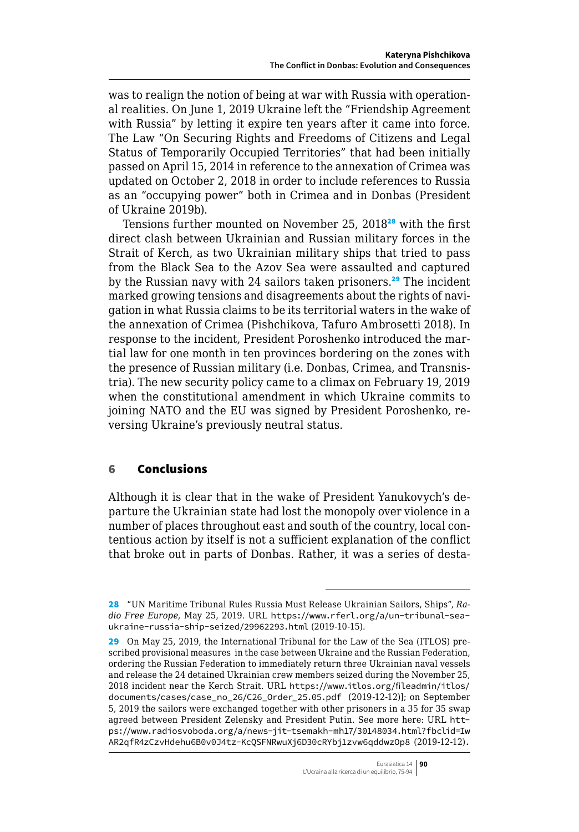was to realign the notion of being at war with Russia with operational realities. On June 1, 2019 Ukraine left the "Friendship Agreement with Russia" by letting it expire ten years after it came into force. The Law "On Securing Rights and Freedoms of Citizens and Legal Status of Temporarily Occupied Territories" that had been initially passed on April 15, 2014 in reference to the annexation of Crimea was updated on October 2, 2018 in order to include references to Russia as an "occupying power" both in Crimea and in Donbas (President of Ukraine 2019b).

Tensions further mounted on November 25, 2018<sup>28</sup> with the first direct clash between Ukrainian and Russian military forces in the Strait of Kerch, as two Ukrainian military ships that tried to pass from the Black Sea to the Azov Sea were assaulted and captured by the Russian navy with 24 sailors taken prisoners.<sup>29</sup> The incident marked growing tensions and disagreements about the rights of navigation in what Russia claims to be its territorial waters in the wake of the annexation of Crimea (Pishchikova, Tafuro Ambrosetti 2018). In response to the incident, President Poroshenko introduced the martial law for one month in ten provinces bordering on the zones with the presence of Russian military (i.e. Donbas, Crimea, and Transnistria). The new security policy came to a climax on February 19, 2019 when the constitutional amendment in which Ukraine commits to joining NATO and the EU was signed by President Poroshenko, reversing Ukraine's previously neutral status.

#### 6 Conclusions

Although it is clear that in the wake of President Yanukovych's departure the Ukrainian state had lost the monopoly over violence in a number of places throughout east and south of the country, local contentious action by itself is not a sufficient explanation of the conflict that broke out in parts of Donbas. Rather, it was a series of desta-

<sup>28</sup> "UN Maritime Tribunal Rules Russia Must Release Ukrainian Sailors, Ships", *Radio Free Europe*, May 25, 2019. URL [https://www.rferl.org/a/un-tribunal-sea](https://www.rferl.org/a/un-tribunal-sea-ukraine-russia-ship-seized/29962293.html)[ukraine-russia-ship-seized/29962293.html](https://www.rferl.org/a/un-tribunal-sea-ukraine-russia-ship-seized/29962293.html) (2019-10-15).

<sup>29</sup> On May 25, 2019, the International Tribunal for the Law of the Sea (ITLOS) prescribed provisional measures in the case between Ukraine and the Russian Federation, ordering the Russian Federation to immediately return three Ukrainian naval vessels and release the 24 detained Ukrainian crew members seized during the November 25, 2018 incident near the Kerch Strait. URL [https://www.itlos.org/fileadmin/itlos/](https://www.itlos.org/fileadmin/itlos/documents/cases/case_no_26/C26_Order_25.05.pdf) [documents/cases/case\\_no\\_26/C26\\_Order\\_25.05.pdf](https://www.itlos.org/fileadmin/itlos/documents/cases/case_no_26/C26_Order_25.05.pdf) (2019-12-12)]; on September 5, 2019 the sailors were exchanged together with other prisoners in a 35 for 35 swap agreed between President Zelensky and President Putin. See more here: URL [htt](https://www.radiosvoboda.org/a/news-jit-tsemakh-mh17/30148034.html?fbclid=IwAR2qfR4zCzvHdehu6B0v0J4tz-KcQSFNRwuXj6D30cRYbj1zvw6qddwzOp8)[ps://www.radiosvoboda.org/a/news-jit-tsemakh-mh17/30148034.html?fbclid=Iw](https://www.radiosvoboda.org/a/news-jit-tsemakh-mh17/30148034.html?fbclid=IwAR2qfR4zCzvHdehu6B0v0J4tz-KcQSFNRwuXj6D30cRYbj1zvw6qddwzOp8) [AR2qfR4zCzvHdehu6B0v0J4tz-KcQSFNRwuXj6D30cRYbj1zvw6qddwzOp8](https://www.radiosvoboda.org/a/news-jit-tsemakh-mh17/30148034.html?fbclid=IwAR2qfR4zCzvHdehu6B0v0J4tz-KcQSFNRwuXj6D30cRYbj1zvw6qddwzOp8) (2019-12-12).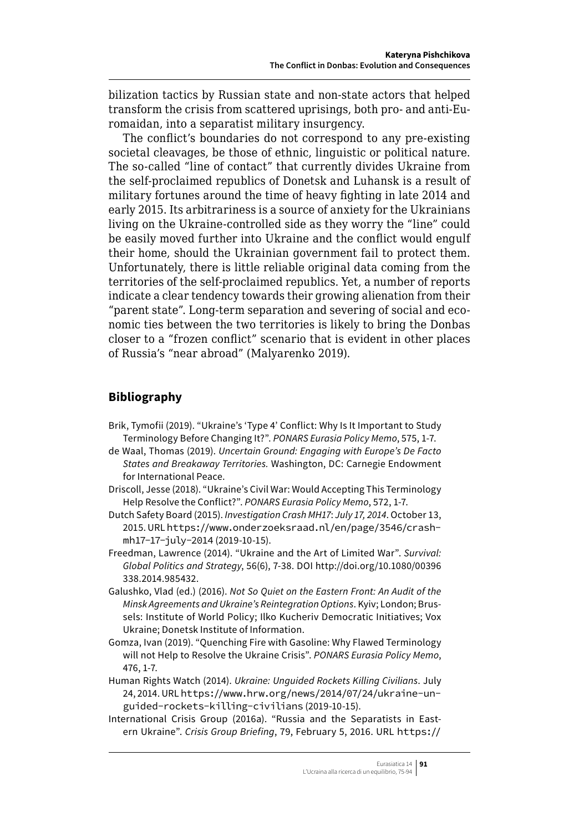<span id="page-16-0"></span>bilization tactics by Russian state and non-state actors that helped transform the crisis from scattered uprisings, both pro- and anti-Euromaidan, into a separatist military insurgency.

The conflict's boundaries do not correspond to any pre-existing societal cleavages, be those of ethnic, linguistic or political nature. The so-called "line of contact" that currently divides Ukraine from the self-proclaimed republics of Donetsk and Luhansk is a result of military fortunes around the time of heavy fighting in late 2014 and early 2015. Its arbitrariness is a source of anxiety for the Ukrainians living on the Ukraine-controlled side as they worry the "line" could be easily moved further into Ukraine and the conflict would engulf their home, should the Ukrainian government fail to protect them. Unfortunately, there is little reliable original data coming from the territories of the self-proclaimed republics. Yet, a number of reports indicate a clear tendency towards their growing alienation from their "parent state". Long-term separation and severing of social and economic ties between the two territories is likely to bring the Donbas closer to a "frozen conflict" scenario that is evident in other places of Russia's "near abroad" (Malyarenko 2019).

## **Bibliography**

- Brik, Tymofii (2019). "Ukraine's 'Type 4' Conflict: Why Is It Important to Study Terminology Before Changing It?". *PONARS Eurasia Policy Memo*, 575, 1-7.
- de Waal, Thomas (2019). *Uncertain Ground: Engaging with Europe's De Facto States and Breakaway Territories.* Washington, DC: Carnegie Endowment for International Peace.
- Driscoll, Jesse (2018). "Ukraine's Civil War: Would Accepting This Terminology Help Resolve the Conflict?". *PONARS Eurasia Policy Memo*, 572, 1-7.
- Dutch Safety Board (2015). *Investigation Crash MH17*: *July 17, 2014*. October 13, 2015. URL [https://www.onderzoeksraad.nl/en/page/3546/crash](https://www.onderzoeksraad.nl/en/page/3546/crash-mh17-17-july-2014)[mh17-17-july-2014](https://www.onderzoeksraad.nl/en/page/3546/crash-mh17-17-july-2014) (2019-10-15).
- Freedman, Lawrence (2014). "Ukraine and the Art of Limited War". *Survival: Global Politics and Strategy*, 56(6), 7-38. DOI http://doi.org/10.1080/00396 338.2014.985432.
- Galushko, Vlad (ed.) (2016). *Not So Quiet on the Eastern Front: An Audit of the Minsk Agreements and Ukraine's Reintegration Options*. Kyiv; London; Brussels: Institute of World Policy; Ilko Kucheriv Democratic Initiatives; Vox Ukraine; Donetsk Institute of Information.
- Gomza, Ivan (2019). "Quenching Fire with Gasoline: Why Flawed Terminology will not Help to Resolve the Ukraine Crisis". *PONARS Eurasia Policy Memo*, 476, 1-7.
- Human Rights Watch (2014). *Ukraine: Unguided Rockets Killing Civilians*. July 24, 2014. URL [https://www.hrw.org/news/2014/07/24/ukraine-un](https://www.hrw.org/news/2014/07/24/ukraine-unguided-rockets-killing-civilians)[guided-rockets-killing-civilians](https://www.hrw.org/news/2014/07/24/ukraine-unguided-rockets-killing-civilians) (2019-10-15).
- International Crisis Group (2016a). "Russia and the Separatists in Eastern Ukraine". *Crisis Group Briefing*, 79, February 5, 2016. URL [https://](https://www.crisisgroup.org/europe-)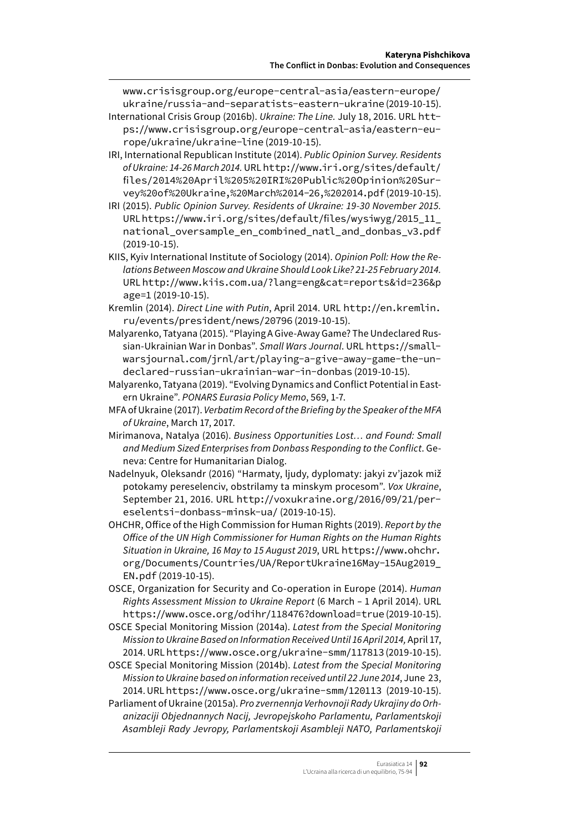[www.crisisgroup.org/europe-c](https://www.crisisgroup.org/europe-)entral-asia/eastern-europe/ ukraine/russia-and-separatists-eastern-ukraine (2019-10-15).

- International Crisis Group (2016b). *Ukraine: The Line.* July 18, 2016. URL [htt](https://www.crisisgroup.org/europe-central-asia/eastern-europe/ukraine/ukraine-line)[ps://www.crisisgroup.org/europe-central-asia/eastern-eu](https://www.crisisgroup.org/europe-central-asia/eastern-europe/ukraine/ukraine-line)[rope/ukraine/ukraine-line](https://www.crisisgroup.org/europe-central-asia/eastern-europe/ukraine/ukraine-line) (2019-10-15).
- IRI, International Republican Institute (2014). *Public Opinion Survey. Residents of Ukraine: 14-26 March 2014.* URL [http://www.iri.org/sites/default/](http://www.iri.org/sites/default/files/2014%20April%205%20IRI%20Public%20Opinion%20Survey%20of%20Ukraine,%20March%2014-26,%202014.pdf) [files/2014%20April%205%20IRI%20Public%20Opinion%20Sur](http://www.iri.org/sites/default/files/2014%20April%205%20IRI%20Public%20Opinion%20Survey%20of%20Ukraine,%20March%2014-26,%202014.pdf)[vey%20of%20Ukraine,%20March%2014-26,%202014.pdf](http://www.iri.org/sites/default/files/2014%20April%205%20IRI%20Public%20Opinion%20Survey%20of%20Ukraine,%20March%2014-26,%202014.pdf) (2019-10-15).
- IRI (2015). *Public Opinion Survey. Residents of Ukraine: 19-30 November 2015.* URL [https://www.iri.org/sites/default/files/wysiwyg/2015\\_11\\_](https://www.iri.org/sites/default/files/wysiwyg/2015_11_national_oversample_en_combined_natl_and_donbas_v3.pdf) [national\\_oversample\\_en\\_combined\\_natl\\_and\\_donbas\\_v3.pdf](https://www.iri.org/sites/default/files/wysiwyg/2015_11_national_oversample_en_combined_natl_and_donbas_v3.pdf) (2019-10-15).
- KIIS, Kyiv International Institute of Sociology (2014). *Opinion Poll: How the Relations Between Moscow and Ukraine Should Look Like? 21-25 February 2014.*  URL [http://www.kiis.com.ua/?lang=eng&cat=reports&id=236&p](http://www.kiis.com.ua/?lang=eng&cat=reports&id=236&page=1) [age=1](http://www.kiis.com.ua/?lang=eng&cat=reports&id=236&page=1) (2019-10-15).
- Kremlin (2014). *Direct Line with Putin*, April 2014. URL [http://en.kremlin.](http://en.kremlin.ru/events/president/news/20796) [ru/events/president/news/20796](http://en.kremlin.ru/events/president/news/20796) (2019-10-15).
- Malyarenko, Tatyana (2015). "Playing A Give-Away Game? The Undeclared Russian-Ukrainian War in Donbas". *Small Wars Journal*. URL [https://small](https://smallwarsjournal.com/jrnl/art/playing-a-give-away-game-the-undeclared-russian-ukrainian-war-in-donbas)[warsjournal.com/jrnl/art/playing-a-give-away-game-the-un](https://smallwarsjournal.com/jrnl/art/playing-a-give-away-game-the-undeclared-russian-ukrainian-war-in-donbas)[declared-russian-ukrainian-war-in-donbas](https://smallwarsjournal.com/jrnl/art/playing-a-give-away-game-the-undeclared-russian-ukrainian-war-in-donbas) (2019-10-15).
- Malyarenko, Tatyana (2019). "Evolving Dynamics and Conflict Potential in Eastern Ukraine". *PONARS Eurasia Policy Memo*, 569, 1-7.
- MFA of Ukraine (2017). *Verbatim Record of the Briefing by the Speaker of the MFA of Ukraine*, March 17, 2017.
- Mirimanova, Natalya (2016). *Business Opportunities Lost… and Found: Small and Medium Sized Enterprises from Donbass Responding to the Conflict*. Geneva: Centre for Humanitarian Dialog.
- Nadelnyuk, Oleksandr (2016) "Harmaty, ljudy, dyplomaty: jakyi zv'jazok miž potokamy pereselenciv, obstrilamy ta minskym procesom". *Vox Ukraine*, September 21, 2016. URL [http://voxukraine.org/2016/09/21/per](http://voxukraine.org/2016/09/21/pereselentsi-donbass-minsk-ua/)[eselentsi-donbass-minsk-ua/](http://voxukraine.org/2016/09/21/pereselentsi-donbass-minsk-ua/) (2019-10-15).
- OHCHR, Office of the High Commission for Human Rights (2019). *Report by the Office of the UN High Commissioner for Human Rights on the Human Rights Situation in Ukraine, 16 May to 15 August 2019*, URL [https://www.ohchr.](https://www.ohchr.org/Documents/Countries/UA/ReportUkraine16May-15Aug2019_EN.pdf) [org/Documents/Countries/UA/ReportUkraine16May-15Aug2019\\_](https://www.ohchr.org/Documents/Countries/UA/ReportUkraine16May-15Aug2019_EN.pdf) [EN.pdf](https://www.ohchr.org/Documents/Countries/UA/ReportUkraine16May-15Aug2019_EN.pdf) (2019-10-15).
- OSCE, Organization for Security and Co-operation in Europe (2014). *Human Rights Assessment Mission to Ukraine Report* (6 March – 1 April 2014). URL <https://www.osce.org/odihr/118476?download=true> (2019-10-15).
- OSCE Special Monitoring Mission (2014a). *Latest from the Special Monitoring Mission to Ukraine Based on Information Received Until 16 April 2014,* April 17, 2014. URL <https://www.osce.org/ukraine-smm/117813> (2019-10-15).
- OSCE Special Monitoring Mission (2014b). *Latest from the Special Monitoring Mission to Ukraine based on information received until 22 June 2014*, June 23, 2014. URL <https://www.osce.org/ukraine-smm/120113> (2019-10-15).
- Parliament of Ukraine (2015a). *Pro zvernennja Verhovnoji Rady Ukrajiny do Orhanizaciji Objednannych Nacij, Jevropejskoho Parlamentu, Parlamentskoji Asambleji Rady Jevropy, Parlamentskoji Asambleji NATO, Parlamentskoji*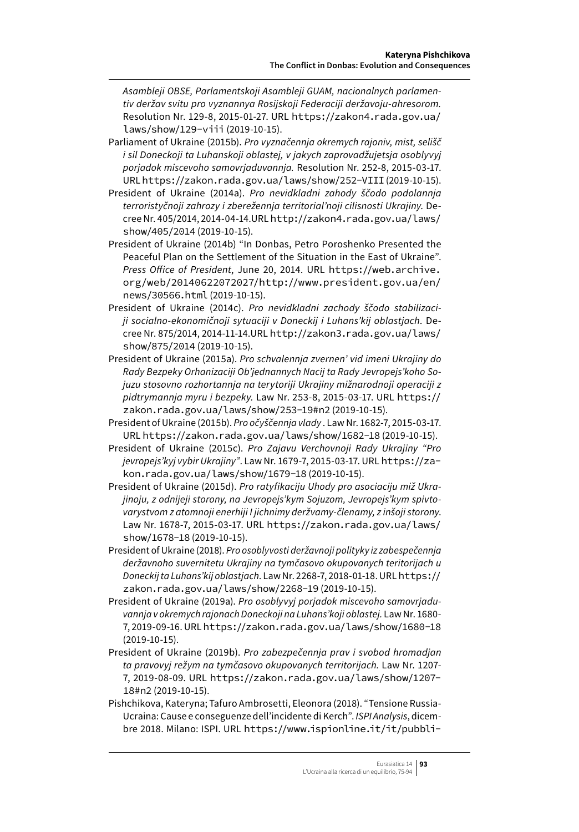*Asambleji OBSE, Parlamentskoji Asambleji GUAM, nacionalnych parlamentiv deržav svitu pro vyznannya Rosijskoji Federaciji deržavoju-ahresorom.* Resolution Nr. 129-8, 2015-01-27. URL [https://zakon4.rada.gov.ua/](https://zakon4.rada.gov.ua/laws/show/129-viii) [laws/show/129-viii](https://zakon4.rada.gov.ua/laws/show/129-viii) (2019-10-15).

- Parliament of Ukraine (2015b). *Pro vyznačennja okremych rajoniv, mist, selišč i sil Doneckoji ta Luhanskoji oblastej, v jakych zaprovadžujetsja osoblyvyj porjadok miscevoho samovrjaduvannja.* Resolution Nr. 252-8, 2015-03-17. URL <https://zakon.rada.gov.ua/laws/show/252-VIII> (2019-10-15).
- President of Ukraine (2014a). *Pro nevidkladni zahody ščodo podolannja terroristyčnoji zahrozy i zberežennja territorial'noji cilisnosti Ukrajiny*. Decree Nr. 405/2014, 2014-04-14.URL [http://zakon4.rada.gov.ua/laws/](http://zakon4.rada.gov.ua/laws/show/405/2014) [show/405/2014](http://zakon4.rada.gov.ua/laws/show/405/2014) (2019-10-15).
- President of Ukraine (2014b) "In Donbas, Petro Poroshenko Presented the Peaceful Plan on the Settlement of the Situation in the East of Ukraine". *Press Office of President*, June 20, 2014. URL [https://web.archive.](https://web.archive.org/web/20140622072027/http://www.president.gov.ua/en/news/30566.html) [org/web/20140622072027/http://www.president.gov.ua/en/](https://web.archive.org/web/20140622072027/http://www.president.gov.ua/en/news/30566.html) [news/30566.html](https://web.archive.org/web/20140622072027/http://www.president.gov.ua/en/news/30566.html) (2019-10-15).
- President of Ukraine (2014c). *Pro nevidkladni zachody ščodo stabilizaciji socialno-ekonomičnoji sytuaciji v Doneckij i Luhans'kij oblastjach*. Decree Nr. 875/2014, 2014-11-14.URL [http://zakon3.rada.gov.ua/laws/](http://zakon3.rada.gov.ua/laws/show/875/2014) [show/875/2014](http://zakon3.rada.gov.ua/laws/show/875/2014) (2019-10-15).
- President of Ukraine (2015a). *Pro schvalennja zvernen' vid imeni Ukrajiny do Rady Bezpeky Orhanizaciji Ob'jednannych Nacij ta Rady Jevropejs'koho Sojuzu stosovno rozhortannja na terytoriji Ukrajiny mižnarodnoji operaciji z pidtrymannja myru i bezpeky.* Law Nr. 253-8, 2015-03-17. URL https:// zakon.rada.gov.ua/laws/show/253-19#n2 (2019-10-15).
- President of Ukraine (2015b). *Pro očyščennja vlady* . Law Nr. 1682-7, 2015-03-17. URL <https://zakon.rada.gov.ua/laws/show/1682-18> (2019-10-15).
- President of Ukraine (2015c). *Pro Zajavu Verchovnoji Rady Ukrajiny "Pro jevropejs'kyj vybir Ukrajiny"*. Law Nr. 1679-7, 2015-03-17. URL [https://za](https://zakon.rada.gov.ua/laws/show/1679-18)[kon.rada.gov.ua/laws/show/1679-18](https://zakon.rada.gov.ua/laws/show/1679-18) (2019-10-15).
- President of Ukraine (2015d). *Pro ratyfikaciju Uhody pro asociaciju miž Ukrajinoju, z odnijeji storony, na Jevropejs'kym Sojuzom, Jevropejs'kym spivtovarystvom z atomnoji enerhiji I jichnimy deržvamy-členamy, z inšoji storony*. Law Nr. 1678-7, 2015-03-17. URL [https://zakon.rada.gov.ua/laws/](https://zakon.rada.gov.ua/laws/show/1678-18) [show/1678-18](https://zakon.rada.gov.ua/laws/show/1678-18) (2019-10-15).
- President of Ukraine (2018). *Pro osoblyvosti deržavnoji polityky iz zabespečennja deržavnoho suvernitetu Ukrajiny na tymčasovo okupovanych teritorijach u Doneckij ta Luhans'kij oblastjach*. Law Nr. 2268-7, 2018-01-18. URL [https://](https://zakon.rada.gov.ua/laws/show/2268-19) [zakon.rada.gov.ua/laws/show/2268-19](https://zakon.rada.gov.ua/laws/show/2268-19) (2019-10-15).
- President of Ukraine (2019a). *Pro osoblyvyj porjadok miscevoho samovrjaduvannja v okremych rajonach Doneckoji na Luhans'koji oblastej.* Law Nr. 1680- 7, 2019-09-16. URL <https://zakon.rada.gov.ua/laws/show/1680-18> (2019-10-15).
- President of Ukraine (2019b). *Pro zabezpečennja prav i svobod hromadjan ta pravovyj režym na tymčasovo okupovanych territorijach.* Law Nr. 1207- 7, 2019-08-09. URL https://zakon.rada.gov.ua/laws/show/1207- 18#n2 (2019-10-15).
- Pishchikova, Kateryna; Tafuro Ambrosetti, Eleonora (2018). "Tensione Russia-Ucraina: Cause e conseguenze dell'incidente di Kerch". *ISPI Analysis*, dicembre 2018. Milano: ISPI. URL [https://www.ispionline.it/it/pubbli-](https://www.ispionline.it/it/pubblicazione/tensione-russia-ucraina-cause-e-conseguenze-dellincidente-di-kerch-21753)